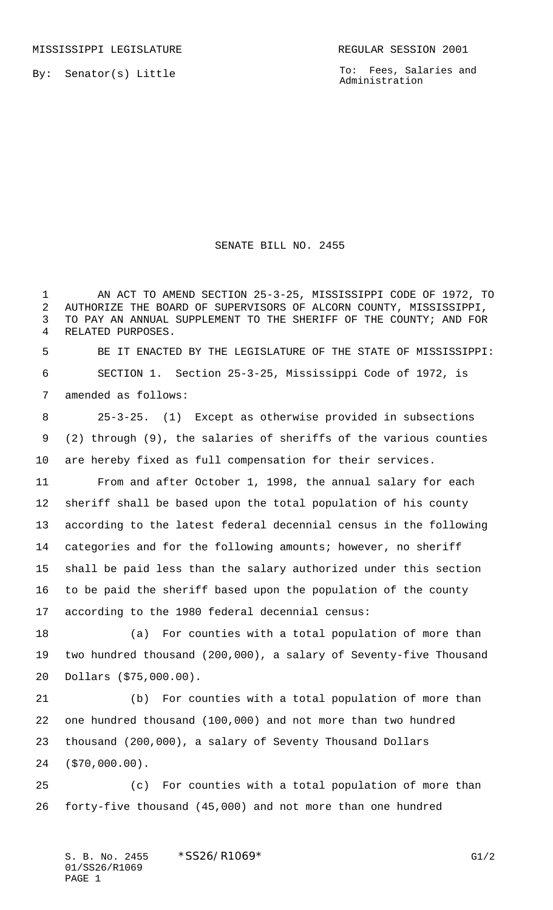MISSISSIPPI LEGISLATURE **REGULAR SESSION 2001** 

By: Senator(s) Little

To: Fees, Salaries and Administration

## SENATE BILL NO. 2455

 AN ACT TO AMEND SECTION 25-3-25, MISSISSIPPI CODE OF 1972, TO AUTHORIZE THE BOARD OF SUPERVISORS OF ALCORN COUNTY, MISSISSIPPI, TO PAY AN ANNUAL SUPPLEMENT TO THE SHERIFF OF THE COUNTY; AND FOR RELATED PURPOSES.

 BE IT ENACTED BY THE LEGISLATURE OF THE STATE OF MISSISSIPPI: SECTION 1. Section 25-3-25, Mississippi Code of 1972, is amended as follows:

 25-3-25. (1) Except as otherwise provided in subsections (2) through (9), the salaries of sheriffs of the various counties are hereby fixed as full compensation for their services.

 From and after October 1, 1998, the annual salary for each sheriff shall be based upon the total population of his county according to the latest federal decennial census in the following categories and for the following amounts; however, no sheriff shall be paid less than the salary authorized under this section to be paid the sheriff based upon the population of the county according to the 1980 federal decennial census:

 (a) For counties with a total population of more than two hundred thousand (200,000), a salary of Seventy-five Thousand Dollars (\$75,000.00).

 (b) For counties with a total population of more than one hundred thousand (100,000) and not more than two hundred thousand (200,000), a salary of Seventy Thousand Dollars (\$70,000.00).

 (c) For counties with a total population of more than forty-five thousand (45,000) and not more than one hundred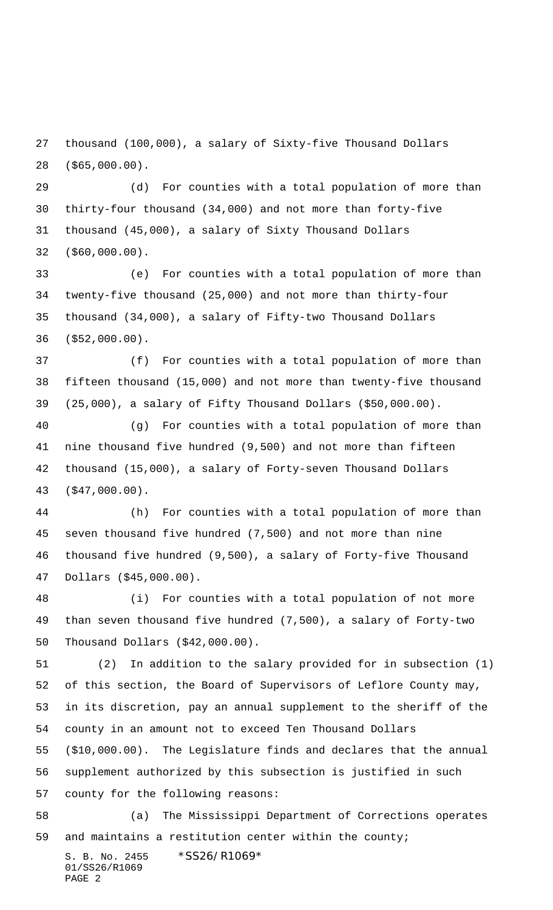thousand (100,000), a salary of Sixty-five Thousand Dollars (\$65,000.00).

 (d) For counties with a total population of more than thirty-four thousand (34,000) and not more than forty-five thousand (45,000), a salary of Sixty Thousand Dollars (\$60,000.00).

 (e) For counties with a total population of more than twenty-five thousand (25,000) and not more than thirty-four thousand (34,000), a salary of Fifty-two Thousand Dollars (\$52,000.00).

 (f) For counties with a total population of more than fifteen thousand (15,000) and not more than twenty-five thousand (25,000), a salary of Fifty Thousand Dollars (\$50,000.00).

 (g) For counties with a total population of more than nine thousand five hundred (9,500) and not more than fifteen thousand (15,000), a salary of Forty-seven Thousand Dollars (\$47,000.00).

 (h) For counties with a total population of more than seven thousand five hundred (7,500) and not more than nine thousand five hundred (9,500), a salary of Forty-five Thousand Dollars (\$45,000.00).

 (i) For counties with a total population of not more than seven thousand five hundred (7,500), a salary of Forty-two Thousand Dollars (\$42,000.00).

 (2) In addition to the salary provided for in subsection (1) of this section, the Board of Supervisors of Leflore County may, in its discretion, pay an annual supplement to the sheriff of the county in an amount not to exceed Ten Thousand Dollars

 (\$10,000.00). The Legislature finds and declares that the annual supplement authorized by this subsection is justified in such

county for the following reasons:

 (a) The Mississippi Department of Corrections operates and maintains a restitution center within the county;

S. B. No. 2455 \*SS26/R1069\* 01/SS26/R1069 PAGE 2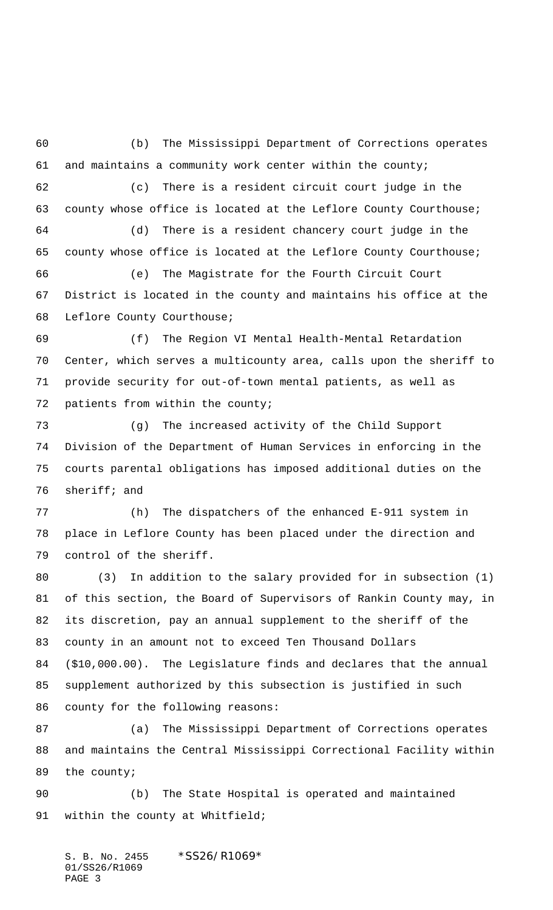(b) The Mississippi Department of Corrections operates and maintains a community work center within the county; (c) There is a resident circuit court judge in the county whose office is located at the Leflore County Courthouse; (d) There is a resident chancery court judge in the county whose office is located at the Leflore County Courthouse; (e) The Magistrate for the Fourth Circuit Court District is located in the county and maintains his office at the Leflore County Courthouse; (f) The Region VI Mental Health-Mental Retardation Center, which serves a multicounty area, calls upon the sheriff to provide security for out-of-town mental patients, as well as patients from within the county; (g) The increased activity of the Child Support Division of the Department of Human Services in enforcing in the courts parental obligations has imposed additional duties on the sheriff; and (h) The dispatchers of the enhanced E-911 system in place in Leflore County has been placed under the direction and control of the sheriff. (3) In addition to the salary provided for in subsection (1) of this section, the Board of Supervisors of Rankin County may, in

 its discretion, pay an annual supplement to the sheriff of the county in an amount not to exceed Ten Thousand Dollars (\$10,000.00). The Legislature finds and declares that the annual supplement authorized by this subsection is justified in such county for the following reasons:

 (a) The Mississippi Department of Corrections operates and maintains the Central Mississippi Correctional Facility within the county;

 (b) The State Hospital is operated and maintained within the county at Whitfield;

S. B. No. 2455 \*SS26/R1069\* 01/SS26/R1069 PAGE 3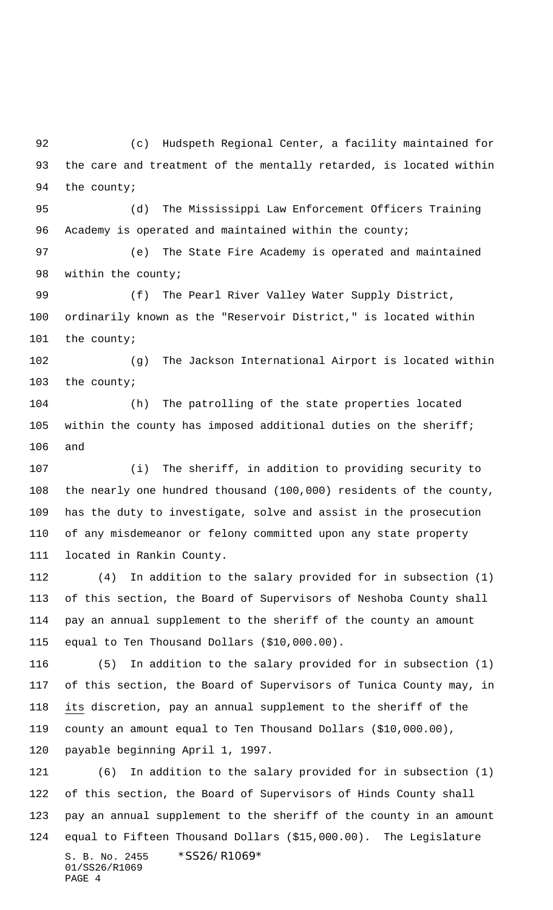(c) Hudspeth Regional Center, a facility maintained for the care and treatment of the mentally retarded, is located within 94 the county;

 (d) The Mississippi Law Enforcement Officers Training 96 Academy is operated and maintained within the county;

 (e) The State Fire Academy is operated and maintained 98 within the county;

 (f) The Pearl River Valley Water Supply District, ordinarily known as the "Reservoir District," is located within the county;

 (g) The Jackson International Airport is located within the county;

 (h) The patrolling of the state properties located within the county has imposed additional duties on the sheriff; and

 (i) The sheriff, in addition to providing security to the nearly one hundred thousand (100,000) residents of the county, has the duty to investigate, solve and assist in the prosecution of any misdemeanor or felony committed upon any state property located in Rankin County.

 (4) In addition to the salary provided for in subsection (1) of this section, the Board of Supervisors of Neshoba County shall pay an annual supplement to the sheriff of the county an amount equal to Ten Thousand Dollars (\$10,000.00).

 (5) In addition to the salary provided for in subsection (1) of this section, the Board of Supervisors of Tunica County may, in its discretion, pay an annual supplement to the sheriff of the county an amount equal to Ten Thousand Dollars (\$10,000.00), payable beginning April 1, 1997.

S. B. No. 2455 \* SS26/R1069\* 01/SS26/R1069 PAGE 4 (6) In addition to the salary provided for in subsection (1) of this section, the Board of Supervisors of Hinds County shall pay an annual supplement to the sheriff of the county in an amount equal to Fifteen Thousand Dollars (\$15,000.00). The Legislature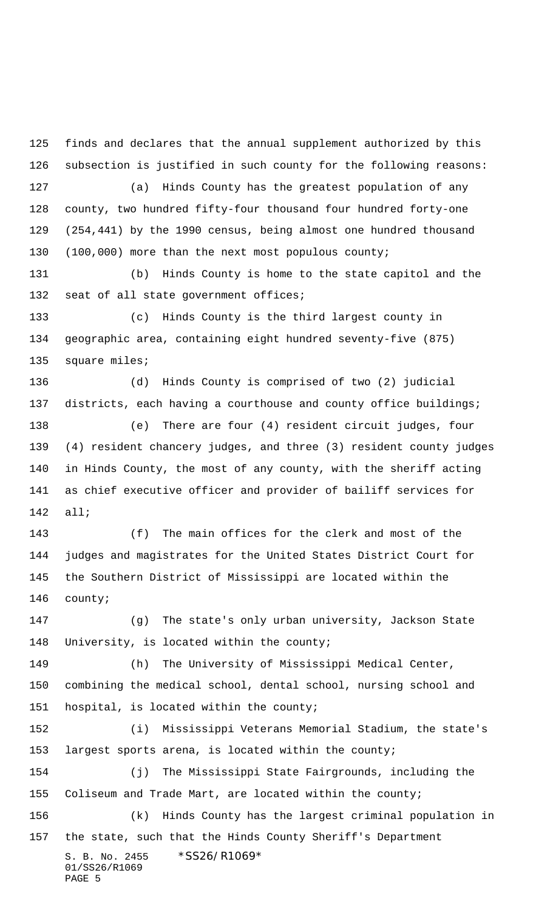S. B. No. 2455 \*SS26/R1069\* 01/SS26/R1069 finds and declares that the annual supplement authorized by this subsection is justified in such county for the following reasons: (a) Hinds County has the greatest population of any county, two hundred fifty-four thousand four hundred forty-one (254,441) by the 1990 census, being almost one hundred thousand (100,000) more than the next most populous county; (b) Hinds County is home to the state capitol and the 132 seat of all state government offices; (c) Hinds County is the third largest county in geographic area, containing eight hundred seventy-five (875) 135 square miles; (d) Hinds County is comprised of two (2) judicial 137 districts, each having a courthouse and county office buildings; (e) There are four (4) resident circuit judges, four (4) resident chancery judges, and three (3) resident county judges in Hinds County, the most of any county, with the sheriff acting as chief executive officer and provider of bailiff services for all; (f) The main offices for the clerk and most of the judges and magistrates for the United States District Court for the Southern District of Mississippi are located within the county; (g) The state's only urban university, Jackson State 148 University, is located within the county; (h) The University of Mississippi Medical Center, combining the medical school, dental school, nursing school and hospital, is located within the county; (i) Mississippi Veterans Memorial Stadium, the state's largest sports arena, is located within the county; (j) The Mississippi State Fairgrounds, including the Coliseum and Trade Mart, are located within the county; (k) Hinds County has the largest criminal population in the state, such that the Hinds County Sheriff's Department

PAGE 5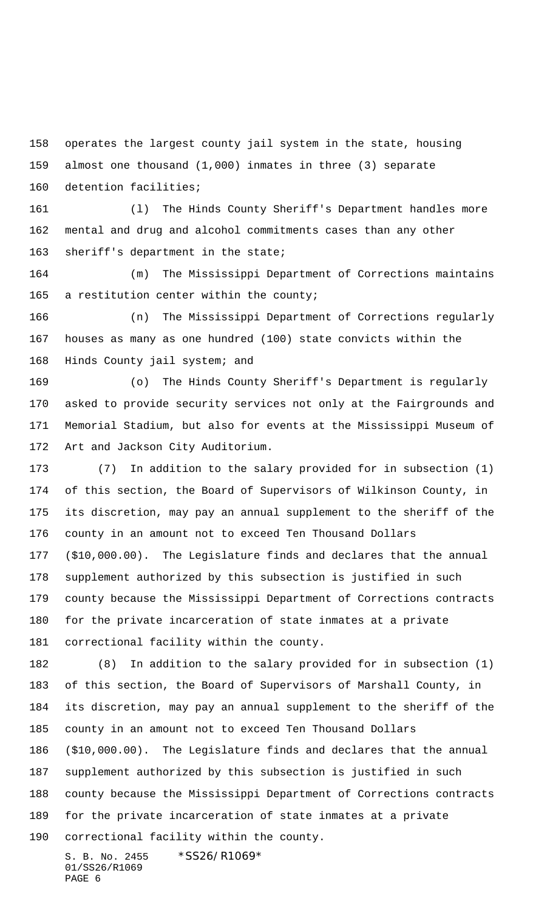operates the largest county jail system in the state, housing almost one thousand (1,000) inmates in three (3) separate

detention facilities;

 (l) The Hinds County Sheriff's Department handles more mental and drug and alcohol commitments cases than any other sheriff's department in the state;

 (m) The Mississippi Department of Corrections maintains 165 a restitution center within the county;

 (n) The Mississippi Department of Corrections regularly houses as many as one hundred (100) state convicts within the Hinds County jail system; and

 (o) The Hinds County Sheriff's Department is regularly asked to provide security services not only at the Fairgrounds and Memorial Stadium, but also for events at the Mississippi Museum of Art and Jackson City Auditorium.

 (7) In addition to the salary provided for in subsection (1) of this section, the Board of Supervisors of Wilkinson County, in its discretion, may pay an annual supplement to the sheriff of the county in an amount not to exceed Ten Thousand Dollars (\$10,000.00). The Legislature finds and declares that the annual supplement authorized by this subsection is justified in such county because the Mississippi Department of Corrections contracts for the private incarceration of state inmates at a private correctional facility within the county.

 (8) In addition to the salary provided for in subsection (1) of this section, the Board of Supervisors of Marshall County, in its discretion, may pay an annual supplement to the sheriff of the county in an amount not to exceed Ten Thousand Dollars (\$10,000.00). The Legislature finds and declares that the annual supplement authorized by this subsection is justified in such county because the Mississippi Department of Corrections contracts for the private incarceration of state inmates at a private correctional facility within the county.

S. B. No. 2455 \* SS26/R1069\* 01/SS26/R1069 PAGE 6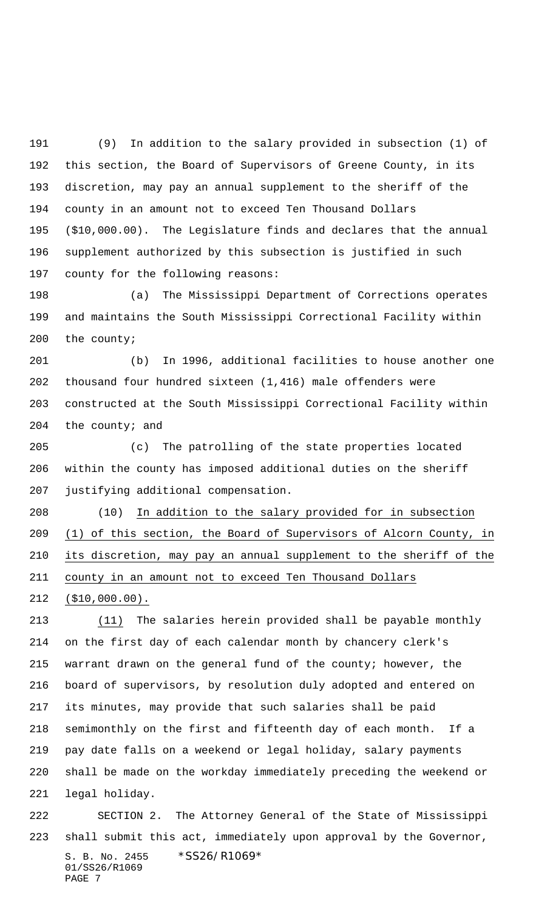(9) In addition to the salary provided in subsection (1) of this section, the Board of Supervisors of Greene County, in its discretion, may pay an annual supplement to the sheriff of the county in an amount not to exceed Ten Thousand Dollars (\$10,000.00). The Legislature finds and declares that the annual supplement authorized by this subsection is justified in such county for the following reasons:

 (a) The Mississippi Department of Corrections operates and maintains the South Mississippi Correctional Facility within the county;

 (b) In 1996, additional facilities to house another one thousand four hundred sixteen (1,416) male offenders were constructed at the South Mississippi Correctional Facility within 204 the county; and

 (c) The patrolling of the state properties located within the county has imposed additional duties on the sheriff justifying additional compensation.

 (10) In addition to the salary provided for in subsection (1) of this section, the Board of Supervisors of Alcorn County, in its discretion, may pay an annual supplement to the sheriff of the county in an amount not to exceed Ten Thousand Dollars

(\$10,000.00).

 (11) The salaries herein provided shall be payable monthly on the first day of each calendar month by chancery clerk's warrant drawn on the general fund of the county; however, the board of supervisors, by resolution duly adopted and entered on its minutes, may provide that such salaries shall be paid semimonthly on the first and fifteenth day of each month. If a pay date falls on a weekend or legal holiday, salary payments shall be made on the workday immediately preceding the weekend or legal holiday.

S. B. No. 2455 \* SS26/R1069\* 01/SS26/R1069 PAGE 7 SECTION 2. The Attorney General of the State of Mississippi shall submit this act, immediately upon approval by the Governor,